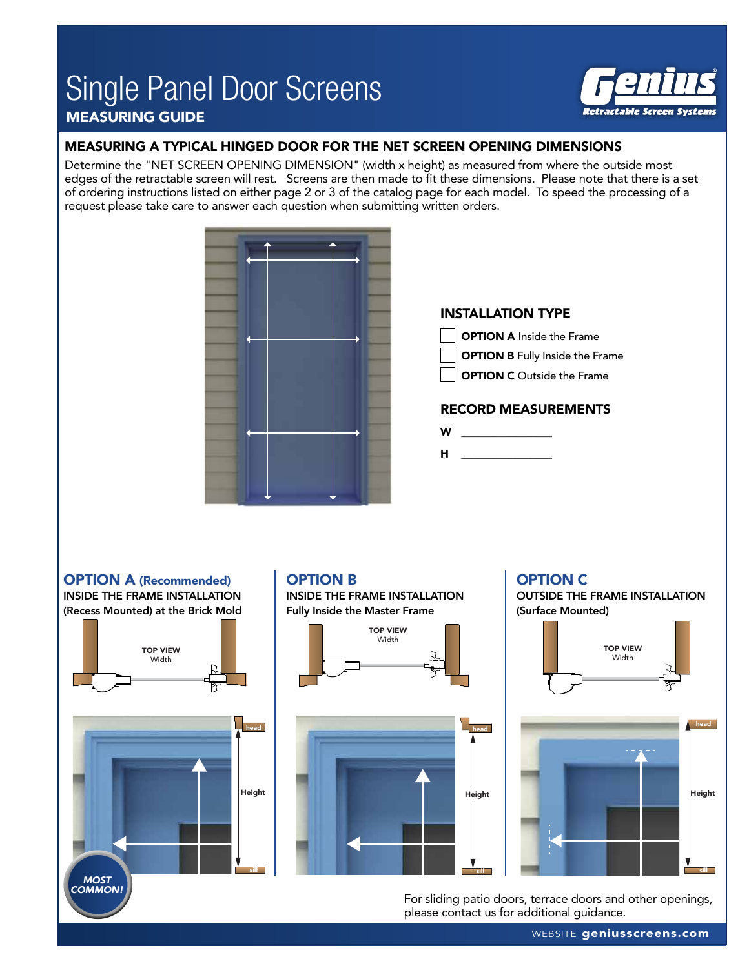## Single Panel Door Screens MEASURING GUIDE



#### MEASURING A TYPICAL HINGED DOOR FOR THE NET SCREEN OPENING DIMENSIONS

Determine the "NET SCREEN OPENING DIMENSION" (width x height) as measured from where the outside most edges of the retractable screen will rest. Screens are then made to fit these dimensions. Please note that there is a set of ordering instructions listed on either page 2 or 3 of the catalog page for each model. To speed the processing of a request please take care to answer each question when submitting written orders.



#### OPTION A (Recommended) INSIDE THE FRAME INSTALLATION (Recess Mounted) at the Brick Mold

Height head sill TOP VIEW **Width** *MOST COMMON!*

### OPTION B

INSIDE THE FRAME INSTALLATION Fully Inside the Master Frame





#### OPTION C

OUTSIDE THE FRAME INSTALLATION (Surface Mounted)



For sliding patio doors, terrace doors and other openings, please contact us for additional guidance.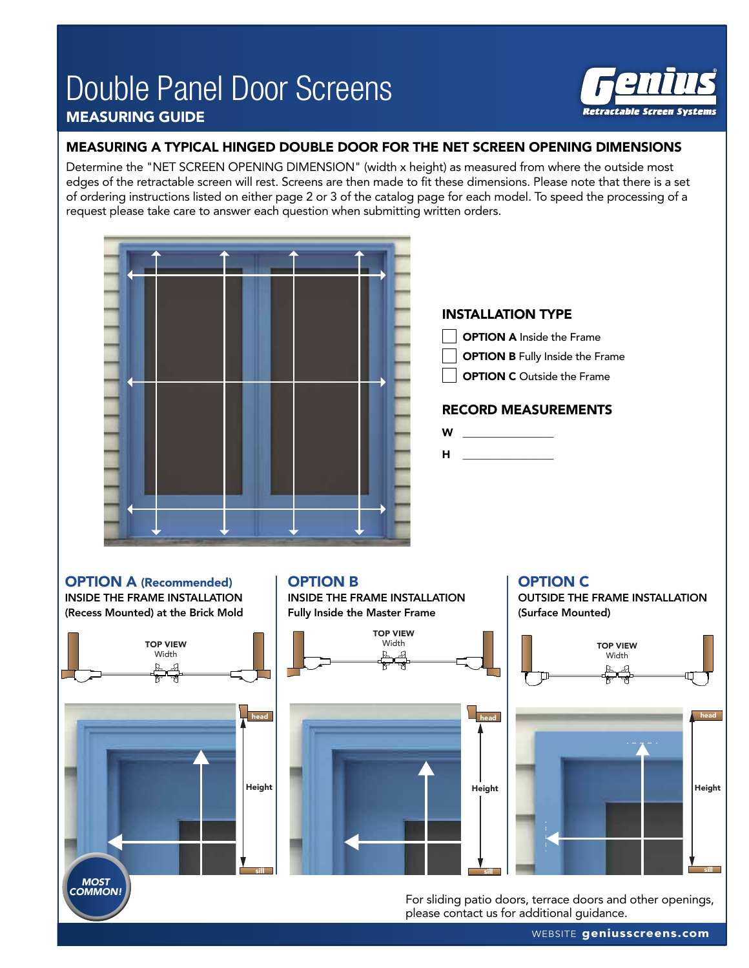## Double Panel Door Screens MEASURING GUIDE



### MEASURING A TYPICAL HINGED DOUBLE DOOR FOR THE NET SCREEN OPENING DIMENSIONS

Determine the "NET SCREEN OPENING DIMENSION" (width x height) as measured from where the outside most edges of the retractable screen will rest. Screens are then made to fit these dimensions. Please note that there is a set of ordering instructions listed on either page 2 or 3 of the catalog page for each model. To speed the processing of a request please take care to answer each question when submitting written orders.



For sliding patio doors, terrace doors and other openings, please contact us for additional guidance.

WEBSITE geniusscreens.com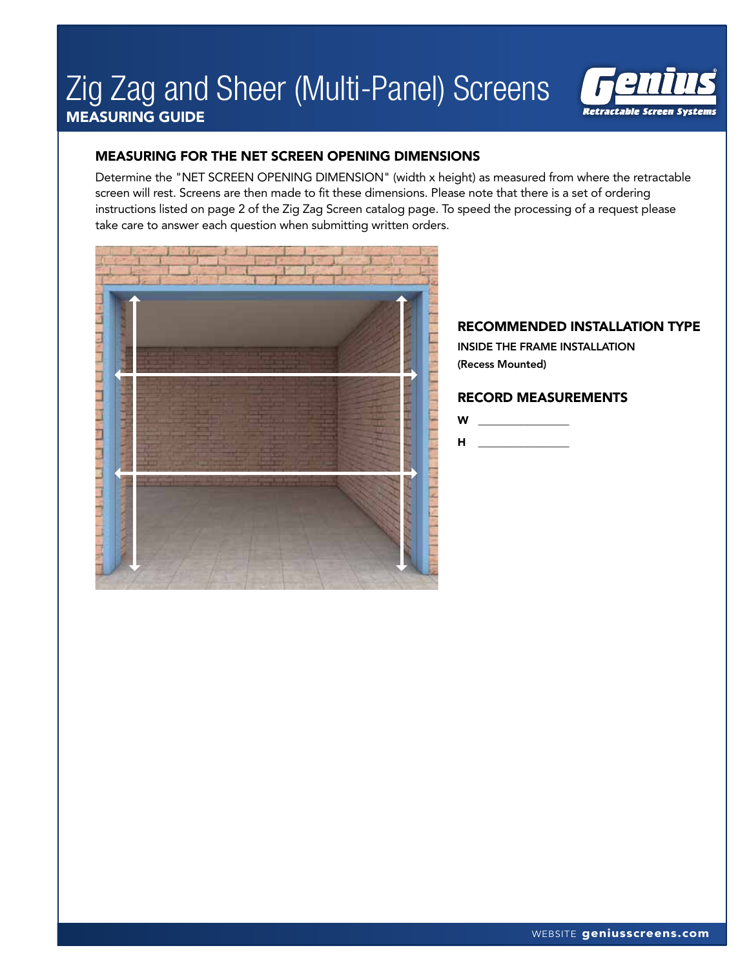# Zig Zag and Sheer (Multi-Panel) Screens MEASURING GUIDE



#### MEASURING FOR THE NET SCREEN OPENING DIMENSIONS

Determine the "NET SCREEN OPENING DIMENSION" (width x height) as measured from where the retractable screen will rest. Screens are then made to fit these dimensions. Please note that there is a set of ordering instructions listed on page 2 of the Zig Zag Screen catalog page. To speed the processing of a request please take care to answer each question when submitting written orders.



#### RECOMMENDED INSTALLATION TYPE

INSIDE THE FRAME INSTALLATION (Recess Mounted)

#### RECORD MEASUREMENTS